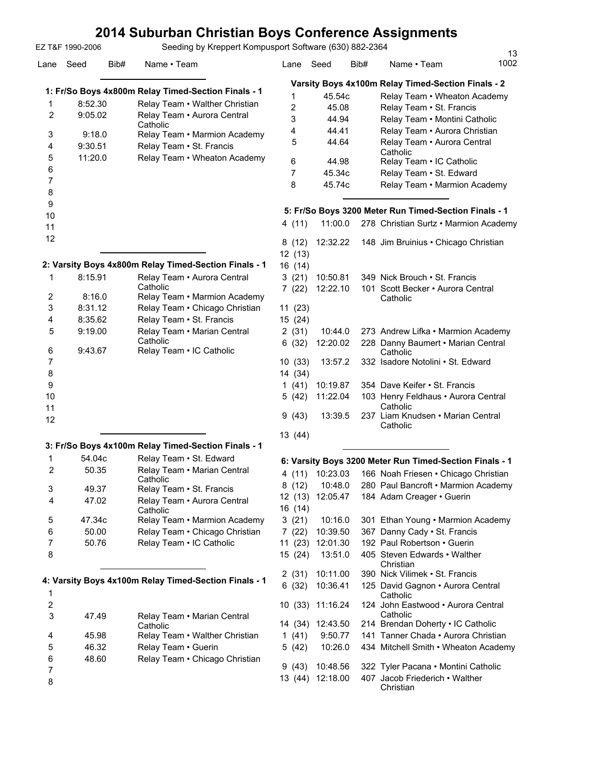## **2014 Suburban Christian Boys Conference Assignments**

Lane Seed Bib# Name • Team Lane Seed Bib# Name • Team EZ T&F 1990-2006 Seeding by Kreppert Kompusport Software (630) 882-2364 **1: Fr/So Boys 4x800m Relay Timed-Section Finals - 1** 1 8:52.30 Relay Team • Walther Christian 9:05.02 Relay Team • Aurora Central **Catholic** 2 3 9:18.0 Relay Team • Marmion Academy 4 9:30.51 Relay Team • St. Francis 5 11:20.0 Relay Team • Wheaton Academy 6 7 8 9 10 11 12 **2: Varsity Boys 4x800m Relay Timed-Section Finals - 1** 8:15.91 Relay Team • Aurora Central 1 **Varsity Boys 4x100m Relay Timed-Section Finals - 2** 1 45.54c Relay Team • Wheaton Academy 2 45.08 Relay Team • St. Francis 3 44.94 Relay Team • Montini Catholic 4 44.41 Relay Team • Aurora Christian **Catholic** 5 12 (13) 16 (14)

|    |         | Catholic                                |
|----|---------|-----------------------------------------|
| 2  | 8:16.0  | Relay Team • Marmion Academy            |
| 3  | 8:31.12 | Relay Team • Chicago Christian          |
| 4  | 8:35.62 | Relay Team • St. Francis                |
| 5  | 9:19.00 | Relay Team • Marian Central<br>Catholic |
| 6  | 9:43.67 | Relay Team • IC Catholic                |
| 7  |         |                                         |
| 8  |         |                                         |
| 9  |         |                                         |
| 10 |         |                                         |
| 11 |         |                                         |
| 12 |         |                                         |

|  | 3: Fr/So Boys 4x100m Relay Timed-Section Finals - 1 |  |  |  |
|--|-----------------------------------------------------|--|--|--|
|  |                                                     |  |  |  |

|   | 54.04c | Relay Team . St. Edward                 |
|---|--------|-----------------------------------------|
| 2 | 50.35  | Relay Team • Marian Central<br>Catholic |
| 3 | 49.37  | Relay Team • St. Francis                |
| 4 | 47.02  | Relay Team . Aurora Central<br>Catholic |
| 5 | 47.34c | Relay Team • Marmion Academy            |
| 6 | 50.00  | Relay Team • Chicago Christian          |
|   | 50.76  | Relay Team . IC Catholic                |
| 8 |        |                                         |

| 4: Varsity Boys 4x100m Relay Timed-Section Finals - 1 |  |  |
|-------------------------------------------------------|--|--|
|                                                       |  |  |

| 3  | 47.49 | Relay Team • Marian Central<br>Catholic |
|----|-------|-----------------------------------------|
|    | 45.98 | Relay Team • Walther Christian          |
| -5 | 46.32 | Relay Team • Guerin                     |
| 6  | 48.60 | Relay Team • Chicago Christian          |
|    |       |                                         |
|    |       |                                         |

### 44.64 Relay Team • Aurora Central 6 44.98 Relay Team • IC Catholic 7 45.34c Relay Team • St. Edward 8 45.74c Relay Team • Marmion Academy **5: Fr/So Boys 3200 Meter Run Timed-Section Finals - 1** 4 (11) 11:00.0 278 Christian Surtz • Marmion Academy 8 (12) 12:32.22 148 Jim Bruinius • Chicago Christian 3 (21) 10:50.81 349 Nick Brouch • St. Francis 101 Scott Becker • Aurora Central **Catholic** 7 (22) 12:22.10 11 (23) 15 (24) 2 (31) 10:44.0 273 Andrew Lifka • Marmion Academy 228 Danny Baumert • Marian Central **Catholic** 6 (32) 12:20.02 10 (33) 13:57.2 332 Isadore Notolini • St. Edward 14 (34) 1 (41) 10:19.87 354 Dave Keifer • St. Francis 103 Henry Feldhaus • Aurora Central **Catholic** 5 (42) 13:39.5 237 Liam Knudsen • Marian Central **Catholic** 9 (43) 13 (44)

13<br>1002

#### **6: Varsity Boys 3200 Meter Run Timed-Section Finals - 1**

| 4 (11)  | 10:23.03 |      | 166 Noah Friesen • Chicago Christian           |
|---------|----------|------|------------------------------------------------|
| 8 (12)  | 10:48.0  |      | 280 Paul Bancroft • Marmion Academy            |
| 12 (13) | 12:05.47 |      | 184 Adam Creager · Guerin                      |
| 16 (14) |          |      |                                                |
| 3(21)   | 10:16.0  |      | 301 Ethan Young • Marmion Academy              |
| 7(22)   | 10:39.50 |      | 367 Danny Cady • St. Francis                   |
| 11 (23) | 12:01.30 |      | 192 Paul Robertson • Guerin                    |
| 15 (24) | 13:51.0  |      | 405 Steven Edwards • Walther<br>Christian      |
| 2 (31)  | 10:11.00 |      | 390 Nick Vilimek • St. Francis                 |
| 6 (32)  | 10:36.41 |      | 125 David Gagnon . Aurora Central<br>Catholic  |
| 10 (33) | 11:16.24 |      | 124 John Eastwood • Aurora Central<br>Catholic |
| 14 (34) | 12:43.50 |      | 214 Brendan Doherty . IC Catholic              |
| 1(41)   | 9:50.77  |      | 141 Tanner Chada • Aurora Christian            |
| 5 (42)  | 10:26.0  |      | 434 Mitchell Smith • Wheaton Academy           |
| 9 (43)  | 10:48.56 |      | 322 Tyler Pacana • Montini Catholic            |
| 13 (44) | 12:18.00 | 407. | Jacob Friederich • Walther<br>Christian        |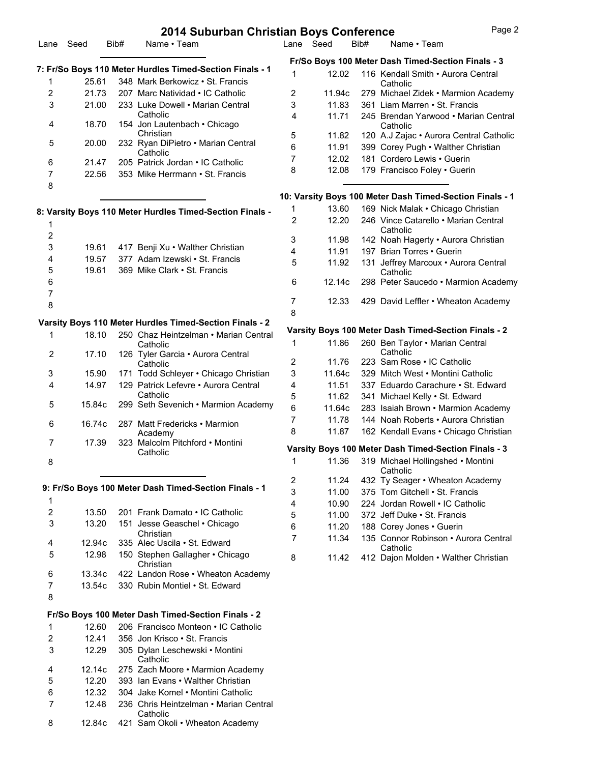|                           |        |      | 2014 Subdibali Christian Boys Conference                 |                         |        |      |                                                          |
|---------------------------|--------|------|----------------------------------------------------------|-------------------------|--------|------|----------------------------------------------------------|
| Lane                      | Seed   | Bib# | Name • Team                                              | Lane Seed               |        | Bib# | Name • Team                                              |
|                           |        |      | 7: Fr/So Boys 110 Meter Hurdles Timed-Section Finals - 1 |                         |        |      | Fr/So Boys 100 Meter Dash Timed-Section Finals - 3       |
| 1                         | 25.61  |      | 348 Mark Berkowicz • St. Francis                         | 1                       | 12.02  |      | 116 Kendall Smith • Aurora Central                       |
| 2                         | 21.73  |      | 207 Marc Natividad • IC Catholic                         | 2                       | 11.94c |      | Catholic<br>279 Michael Zidek • Marmion Academy          |
| 3                         | 21.00  |      | 233 Luke Dowell • Marian Central                         | 3                       | 11.83  |      | 361 Liam Marren • St. Francis                            |
|                           |        |      | Catholic                                                 | 4                       | 11.71  |      | 245 Brendan Yarwood • Marian Central                     |
| 4                         | 18.70  |      | 154 Jon Lautenbach • Chicago                             |                         |        |      | Catholic                                                 |
|                           |        |      | Christian                                                | 5                       | 11.82  |      | 120 A.J Zajac · Aurora Central Catholic                  |
| 5                         | 20.00  |      | 232 Ryan DiPietro • Marian Central                       | 6                       | 11.91  |      | 399 Corey Pugh . Walther Christian                       |
|                           | 21.47  |      | Catholic<br>205 Patrick Jordan . IC Catholic             | 7                       | 12.02  |      | 181 Cordero Lewis . Guerin                               |
| 6<br>7                    | 22.56  |      | 353 Mike Herrmann • St. Francis                          | 8                       | 12.08  |      | 179 Francisco Foley . Guerin                             |
| 8                         |        |      |                                                          |                         |        |      |                                                          |
|                           |        |      |                                                          |                         |        |      | 10: Varsity Boys 100 Meter Dash Timed-Section Finals - 1 |
|                           |        |      | 8: Varsity Boys 110 Meter Hurdles Timed-Section Finals - | 1                       | 13.60  |      | 169 Nick Malak • Chicago Christian                       |
|                           |        |      |                                                          | $\overline{2}$          | 12.20  |      | 246 Vince Catarello • Marian Central                     |
| 1<br>2                    |        |      |                                                          |                         |        |      | Catholic                                                 |
|                           |        |      |                                                          | 3                       | 11.98  |      | 142 Noah Hagerty . Aurora Christian                      |
| 3                         | 19.61  |      | 417 Benji Xu · Walther Christian                         | 4                       | 11.91  |      | 197 Brian Torres . Guerin                                |
| 4                         | 19.57  |      | 377 Adam Izewski · St. Francis                           | 5                       | 11.92  |      | 131 Jeffrey Marcoux . Aurora Central                     |
| 5                         | 19.61  |      | 369 Mike Clark . St. Francis                             |                         |        |      | Catholic                                                 |
| 6<br>$\overline{7}$       |        |      |                                                          | 6                       | 12.14c |      | 298 Peter Saucedo · Marmion Academy                      |
| 8                         |        |      |                                                          | $\overline{7}$          | 12.33  |      | 429 David Leffler . Wheaton Academy                      |
|                           |        |      |                                                          | 8                       |        |      |                                                          |
|                           |        |      | Varsity Boys 110 Meter Hurdles Timed-Section Finals - 2  |                         |        |      |                                                          |
| 1                         | 18.10  |      | 250 Chaz Heintzelman • Marian Central                    |                         |        |      | Varsity Boys 100 Meter Dash Timed-Section Finals - 2     |
|                           |        |      | Catholic                                                 | 1                       | 11.86  |      | 260 Ben Taylor . Marian Central<br>Catholic              |
| $\overline{2}$            | 17.10  |      | 126 Tyler Garcia • Aurora Central<br>Catholic            | $\boldsymbol{2}$        | 11.76  |      | 223 Sam Rose . IC Catholic                               |
| 3                         | 15.90  |      | 171 Todd Schleyer . Chicago Christian                    | 3                       | 11.64c |      | 329 Mitch West • Montini Catholic                        |
| 4                         | 14.97  |      | 129 Patrick Lefevre • Aurora Central                     | 4                       | 11.51  |      | 337 Eduardo Carachure • St. Edward                       |
|                           |        |      | Catholic                                                 | 5                       | 11.62  |      | 341 Michael Kelly . St. Edward                           |
| 5                         | 15.84c |      | 299 Seth Sevenich • Marmion Academy                      | 6                       | 11.64c |      | 283 Isaiah Brown • Marmion Academy                       |
|                           |        |      |                                                          | 7                       | 11.78  |      | 144 Noah Roberts • Aurora Christian                      |
| 6                         | 16.74c |      | 287 Matt Fredericks • Marmion                            | 8                       | 11.87  |      | 162 Kendall Evans . Chicago Christian                    |
| 7                         | 17.39  |      | Academy<br>323 Malcolm Pitchford • Montini               |                         |        |      |                                                          |
|                           |        |      | Catholic                                                 |                         |        |      | Varsity Boys 100 Meter Dash Timed-Section Finals - 3     |
| 8                         |        |      |                                                          | 1                       | 11.36  |      | 319 Michael Hollingshed • Montini<br>Catholic            |
|                           |        |      |                                                          | $\overline{\mathbf{c}}$ | 11.24  |      | 432 Ty Seager • Wheaton Academy                          |
|                           |        |      | 9: Fr/So Boys 100 Meter Dash Timed-Section Finals - 1    | 3                       | 11.00  |      | 375 Tom Gitchell • St. Francis                           |
| 1                         |        |      |                                                          | 4                       | 10.90  |      | 224 Jordan Rowell . IC Catholic                          |
| $\boldsymbol{2}$          | 13.50  |      | 201 Frank Damato . IC Catholic                           | 5                       | 11.00  |      | 372 Jeff Duke • St. Francis                              |
| $\ensuremath{\mathsf{3}}$ | 13.20  |      | 151 Jesse Geaschel • Chicago                             | 6                       | 11.20  |      | 188 Corey Jones . Guerin                                 |
|                           |        |      | Christian                                                | 7                       | 11.34  |      | 135 Connor Robinson • Aurora Central                     |
| 4                         | 12.94c |      | 335 Alec Uscila . St. Edward                             |                         |        |      | Catholic                                                 |
| 5                         | 12.98  |      | 150 Stephen Gallagher • Chicago<br>Christian             | 8                       | 11.42  |      | 412 Dajon Molden • Walther Christian                     |
| 6                         | 13.34c |      | 422 Landon Rose . Wheaton Academy                        |                         |        |      |                                                          |
| 7                         | 13.54c |      | 330 Rubin Montiel . St. Edward                           |                         |        |      |                                                          |
| 8                         |        |      |                                                          |                         |        |      |                                                          |
|                           |        |      |                                                          |                         |        |      |                                                          |
|                           |        |      | Fr/So Boys 100 Meter Dash Timed-Section Finals - 2       |                         |        |      |                                                          |
| 1                         | 12.60  |      | 206 Francisco Monteon • IC Catholic                      |                         |        |      |                                                          |
| 2                         | 12.41  |      | 356 Jon Krisco . St. Francis                             |                         |        |      |                                                          |
| 3                         | 12.29  |      | 305 Dylan Leschewski • Montini                           |                         |        |      |                                                          |
| 4                         | 12.14c |      | Catholic<br>275 Zach Moore • Marmion Academy             |                         |        |      |                                                          |
| 5                         | 12.20  |      | 393 Ian Evans • Walther Christian                        |                         |        |      |                                                          |
| 6                         | 12.32  |      | 304 Jake Komel • Montini Catholic                        |                         |        |      |                                                          |
| 7                         | 12.48  |      | 236 Chris Heintzelman • Marian Central                   |                         |        |      |                                                          |
|                           |        |      | Catholic                                                 |                         |        |      |                                                          |
| 8                         | 12.84c |      | 421 Sam Okoli • Wheaton Academy                          |                         |        |      |                                                          |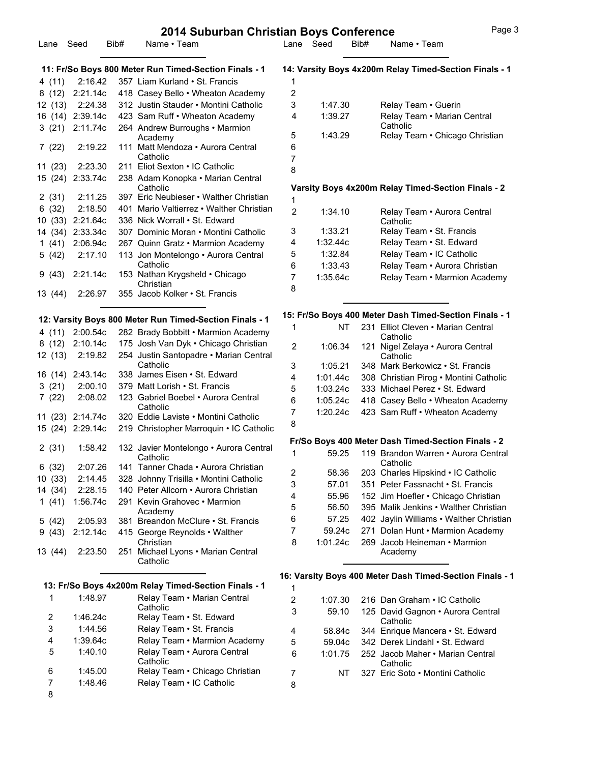#### **2014 Suburban Christian Boys Conference** Page 3 Lane Seed Bib# Name • Team Lane Seed Bib# Name • Team **11: Fr/So Boys 800 Meter Run Timed-Section Finals - 1** 4 (11) 2:16.42 357 Liam Kurland • St. Francis 8 (12) 2:21.14c 418 Casey Bello • Wheaton Academy 12 (13) 2:24.38 312 Justin Stauder • Montini Catholic 16 (14) 2:39.14c 423 Sam Ruff • Wheaton Academy 264 Andrew Burroughs • Marmion Academy 3 (21) 2:19.22 111 Matt Mendoza • Aurora Central Catholic 7 (22) 11 (23) 2:23.30 211 Eliot Sexton • IC Catholic 238 Adam Konopka • Marian Central Catholic 15 (24) 2 (31) 2:11.25 397 Eric Neubieser • Walther Christian 6 (32) 2:18.50 401 Mario Valtierrez • Walther Christian 10 (33) 2:21.64c 336 Nick Worrall • St. Edward 14 (34) 2:33.34c 307 Dominic Moran • Montini Catholic 1 (41) 2:06.94c 267 Quinn Gratz • Marmion Academy 2:17.10 113 Jon Montelongo • Aurora Central Catholic 5 (42) 153 Nathan Krygsheld • Chicago **Christian** 9 (43) 2:21.14c 13 (44) 2:26.97 355 Jacob Kolker • St. Francis **12: Varsity Boys 800 Meter Run Timed-Section Finals - 1** 4 (11) 2:00.54c 282 Brady Bobbitt • Marmion Academy 8 (12) 2:10.14c 175 Josh Van Dyk • Chicago Christian 2:19.82 254 Justin Santopadre • Marian Central **Catholic** 12 (13) 16 (14) 2:43.14c 338 James Eisen • St. Edward 3 (21) 2:00.10 379 Matt Lorish • St. Francis 2:08.02 123 Gabriel Boebel • Aurora Central **Catholic** 7 (22) 11 (23) 2:14.74c 320 Eddie Laviste • Montini Catholic 15 (24) 2:29.14c 219 Christopher Marroquin • IC Catholic 1:58.42 132 Javier Montelongo • Aurora Central **Catholic** 2 (31) 6 (32) 2:07.26 141 Tanner Chada • Aurora Christian 10 (33) 2:14.45 328 Johnny Trisilla • Montini Catholic 14 (34) 2:28.15 140 Peter Allcorn • Aurora Christian 291 Kevin Grahovec • Marmion Academy 1 (41) 5 (42) 2:05.93 381 Breandon McClure • St. Francis 415 George Reynolds • Walther Christian 9 (43) 2:12.14c 2:23.50 251 Michael Lyons • Marian Central 13 (44) **14: Varsity Boys 4x200m Relay Timed-Section Finals - 1** 1 2 3 1:47.30 Relay Team • Guerin 1:39.27 Relay Team • Marian Central Catholic 4 5 1:43.29 Relay Team • Chicago Christian 6 7 8 **Varsity Boys 4x200m Relay Timed-Section Finals - 2** 1 1:34.10 Relay Team • Aurora Central **Catholic** 2 3 1:33.21 Relay Team • St. Francis 4 1:32.44c Relay Team • St. Edward 5 1:32.84 Relay Team • IC Catholic 6 1:33.43 Relay Team • Aurora Christian 7 1:35.64c Relay Team • Marmion Academy 8 **15: Fr/So Boys 400 Meter Dash Timed-Section Finals - 1** NT 231 Elliot Cleven • Marian Central Catholic 1 1:06.34 121 Nigel Zelaya • Aurora Central **Catholic** 2 3 1:05.21 348 Mark Berkowicz • St. Francis 4 1:01.44c 308 Christian Pirog • Montini Catholic 5 1:03.24c 333 Michael Perez • St. Edward 6 1:05.24c 418 Casey Bello • Wheaton Academy 7 1:20.24c 423 Sam Ruff • Wheaton Academy 8 **Fr/So Boys 400 Meter Dash Timed-Section Finals - 2** 59.25 119 Brandon Warren • Aurora Central **Catholic** 1 2 58.36 203 Charles Hipskind • IC Catholic 3 57.01 351 Peter Fassnacht • St. Francis 4 55.96 152 Jim Hoefler • Chicago Christian 5 56.50 395 Malik Jenkins • Walther Christian 6 57.25 402 Jaylin Williams • Walther Christian 7 59.24c 271 Dolan Hunt • Marmion Academy 1:01.24c 269 Jacob Heineman • Marmion Academy 8

1

#### **13: Fr/So Boys 4x200m Relay Timed-Section Finals - 1**

Catholic

| 1 | 1:48.97  | Relay Team • Marian Central<br>Catholic |
|---|----------|-----------------------------------------|
| 2 | 1:46.24c | Relay Team • St. Edward                 |
| 3 | 1:44.56  | Relay Team • St. Francis                |
| 4 | 1:39.64c | Relay Team • Marmion Academy            |
| 5 | 1:40.10  | Relay Team • Aurora Central<br>Catholic |
| 6 | 1:45.00  | Relay Team • Chicago Christian          |
| 7 | 1:48.46  | Relay Team . IC Catholic                |
| 8 |          |                                         |

#### **16: Varsity Boys 400 Meter Dash Timed-Section Finals - 1**

| $\overline{2}$ | 1:07.30 | 216 Dan Graham . IC Catholic                  |
|----------------|---------|-----------------------------------------------|
| 3              | 59.10   | 125 David Gagnon • Aurora Central<br>Catholic |
| 4              | 58.84c  | 344 Enrique Mancera • St. Edward              |
| 5              | 59.04c  | 342 Derek Lindahl . St. Edward                |
| 6              | 1:01.75 | 252 Jacob Maher • Marian Central<br>Catholic  |
| 7              | NT      | 327 Eric Soto • Montini Catholic              |
| 8              |         |                                               |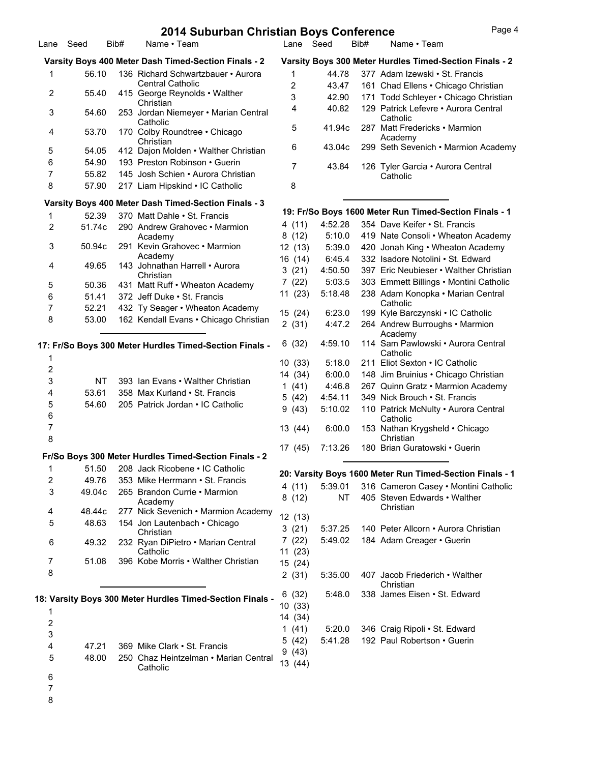| Lane Seed        |           | Bib# | Name • Team                                               | Lane Seed        |                   | Bib# | Name • Team                                                  |
|------------------|-----------|------|-----------------------------------------------------------|------------------|-------------------|------|--------------------------------------------------------------|
|                  |           |      | Varsity Boys 400 Meter Dash Timed-Section Finals - 2      |                  |                   |      | Varsity Boys 300 Meter Hurdles Timed-Section Finals - 2      |
| 1                | 56.10     |      | 136 Richard Schwartzbauer • Aurora                        | 1                | 44.78             |      | 377 Adam Izewski · St. Francis                               |
| 2                | 55.40     |      | <b>Central Catholic</b>                                   | 2                | 43.47             |      | 161 Chad Ellens . Chicago Christian                          |
|                  |           |      | 415 George Reynolds . Walther<br>Christian                | 3                | 42.90             |      | 171 Todd Schleyer . Chicago Christian                        |
| 3                | 54.60     |      | 253 Jordan Niemeyer • Marian Central<br>Catholic          | 4                | 40.82             |      | 129 Patrick Lefevre • Aurora Central<br>Catholic             |
| 4                | 53.70     |      | 170 Colby Roundtree . Chicago<br>Christian                | 5                | 41.94c            |      | 287 Matt Fredericks • Marmion<br>Academy                     |
| 5                | 54.05     |      | 412 Dajon Molden • Walther Christian                      | 6                | 43.04c            |      | 299 Seth Sevenich • Marmion Academy                          |
| 6                | 54.90     |      | 193 Preston Robinson • Guerin                             | $\overline{7}$   | 43.84             |      | 126 Tyler Garcia • Aurora Central                            |
| $\overline{7}$   | 55.82     |      | 145 Josh Schien . Aurora Christian                        |                  |                   |      | Catholic                                                     |
| 8                | 57.90     |      | 217 Liam Hipskind • IC Catholic                           | 8                |                   |      |                                                              |
|                  |           |      | Varsity Boys 400 Meter Dash Timed-Section Finals - 3      |                  |                   |      |                                                              |
| 1                | 52.39     |      | 370 Matt Dahle • St. Francis                              |                  |                   |      | 19: Fr/So Boys 1600 Meter Run Timed-Section Finals - 1       |
| 2                | 51.74c    |      | 290 Andrew Grahovec • Marmion                             | 4(11)            | 4:52.28           |      | 354 Dave Keifer • St. Francis                                |
|                  |           |      | Academy                                                   | 8(12)            | 5:10.0            |      | 419 Nate Consoli • Wheaton Academy                           |
| 3                | 50.94c    |      | 291 Kevin Grahovec . Marmion                              | 12 (13)          | 5:39.0            |      | 420 Jonah King • Wheaton Academy                             |
| 4                | 49.65     |      | Academy<br>143 Johnathan Harrell • Aurora                 | 16 (14)          | 6:45.4            |      | 332 Isadore Notolini • St. Edward                            |
|                  |           |      | Christian                                                 | 3(21)            | 4:50.50           |      | 397 Eric Neubieser • Walther Christian                       |
| 5                | 50.36     |      | 431 Matt Ruff • Wheaton Academy                           | 7(22)            | 5:03.5            |      | 303 Emmett Billings . Montini Catholic                       |
| 6                | 51.41     |      | 372 Jeff Duke . St. Francis                               | 11(23)           | 5:18.48           |      | 238 Adam Konopka • Marian Central                            |
| $\overline{7}$   | 52.21     |      | 432 Ty Seager • Wheaton Academy                           | 15 (24)          | 6:23.0            |      | Catholic<br>199 Kyle Barczynski • IC Catholic                |
| 8                | 53.00     |      | 162 Kendall Evans . Chicago Christian                     | 2(31)            | 4:47.2            |      | 264 Andrew Burroughs . Marmion                               |
|                  |           |      |                                                           |                  |                   |      | Academy                                                      |
| 1                |           |      | 17: Fr/So Boys 300 Meter Hurdles Timed-Section Finals -   | 6(32)            | 4:59.10           |      | 114 Sam Pawlowski • Aurora Central<br>Catholic               |
| 2                |           |      |                                                           | 10(33)           | 5:18.0            |      | 211 Eliot Sexton . IC Catholic                               |
| 3                | <b>NT</b> |      | 393 Ian Evans • Walther Christian                         | 14 (34)          | 6:00.0            |      | 148 Jim Bruinius • Chicago Christian                         |
| 4                | 53.61     |      | 358 Max Kurland . St. Francis                             | 1(41)            | 4:46.8            |      | 267 Quinn Gratz • Marmion Academy                            |
| 5                | 54.60     |      | 205 Patrick Jordan . IC Catholic                          | 5(42)            | 4:54.11           |      | 349 Nick Brouch • St. Francis                                |
| 6                |           |      |                                                           | 9(43)            | 5:10.02           |      | 110 Patrick McNulty . Aurora Central<br>Catholic             |
| 7<br>8           |           |      |                                                           | 13 (44)          | 6:00.0            |      | 153 Nathan Krygsheld • Chicago<br>Christian                  |
|                  |           |      | Fr/So Boys 300 Meter Hurdles Timed-Section Finals - 2     | 17 (45)          | 7:13.26           |      | 180 Brian Guratowski • Guerin                                |
| 1                |           |      | 51.50 208 Jack Ricobene . IC Catholic                     |                  |                   |      |                                                              |
| 2                | 49.76     |      | 353 Mike Herrmann • St. Francis                           |                  |                   |      | 20: Varsity Boys 1600 Meter Run Timed-Section Finals - 1     |
| 3                | 49.04c    |      | 265 Brandon Currie • Marmion                              | 4(11)            | 5:39.01           |      | 316 Cameron Casey . Montini Catholic                         |
|                  |           |      | Academy                                                   | 8(12)            | ΝT                |      | 405 Steven Edwards • Walther<br>Christian                    |
| 4                | 48.44c    |      | 277 Nick Sevenich • Marmion Academy                       | 12 (13)          |                   |      |                                                              |
| 5                | 48.63     |      | 154 Jon Lautenbach • Chicago                              | 3(21)            | 5:37.25           |      | 140 Peter Allcorn • Aurora Christian                         |
| 6                | 49.32     |      | Christian<br>232 Ryan DiPietro • Marian Central           | 7(22)            | 5:49.02           |      | 184 Adam Creager · Guerin                                    |
| 7                | 51.08     |      | Catholic<br>396 Kobe Morris • Walther Christian           | 11(23)           |                   |      |                                                              |
| 8                |           |      |                                                           | 15 (24)<br>2(31) | 5:35.00           |      | 407 Jacob Friederich • Walther                               |
|                  |           |      | 18: Varsity Boys 300 Meter Hurdles Timed-Section Finals - | 6(32)            | 5:48.0            |      | Christian<br>338 James Eisen • St. Edward                    |
| 1                |           |      |                                                           | 10(33)           |                   |      |                                                              |
| $\boldsymbol{2}$ |           |      |                                                           | 14 (34)          |                   |      |                                                              |
| 3                |           |      |                                                           | 1 $(41)$         | 5:20.0<br>5:41.28 |      | 346 Craig Ripoli . St. Edward<br>192 Paul Robertson • Guerin |
| 4                | 47.21     |      | 369 Mike Clark · St. Francis                              | 5(42)            |                   |      |                                                              |
| 5                | 48.00     |      | 250 Chaz Heintzelman • Marian Central                     | 9(43)<br>42/44   |                   |      |                                                              |

13 (44)

6

- 7
- 8

Catholic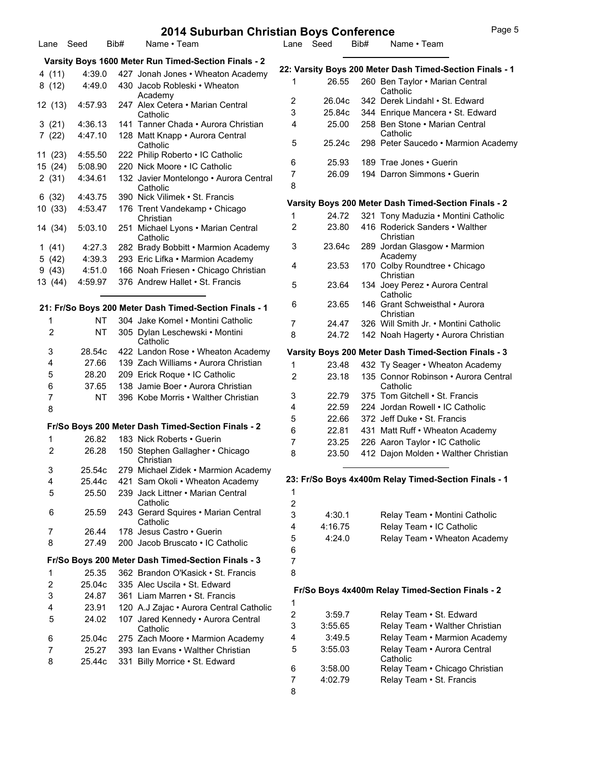|                           |           |      | 2014 Suburban Christian Boys Conference                                                     |                  |           |      | Page 5                                                   |
|---------------------------|-----------|------|---------------------------------------------------------------------------------------------|------------------|-----------|------|----------------------------------------------------------|
|                           | Lane Seed | Bib# | Name • Team                                                                                 |                  | Lane Seed | Bib# | Name • Team                                              |
|                           |           |      | Varsity Boys 1600 Meter Run Timed-Section Finals - 2                                        |                  |           |      |                                                          |
| 4(11)                     | 4:39.0    |      | 427 Jonah Jones • Wheaton Academy                                                           |                  |           |      | 22: Varsity Boys 200 Meter Dash Timed-Section Finals - 1 |
| 8(12)                     | 4:49.0    |      | 430 Jacob Robleski • Wheaton<br>Academy                                                     | 1                | 26.55     |      | 260 Ben Taylor . Marian Central<br>Catholic              |
| 12 (13)                   | 4:57.93   |      | 247 Alex Cetera • Marian Central                                                            | 2                | 26.04c    |      | 342 Derek Lindahl · St. Edward                           |
|                           |           |      | Catholic                                                                                    | 3                | 25.84c    |      | 344 Enrique Mancera · St. Edward                         |
| 3(21)                     | 4:36.13   |      | 141 Tanner Chada • Aurora Christian                                                         | 4                | 25.00     |      | 258 Ben Stone • Marian Central                           |
| 7(22)                     | 4:47.10   |      | 128 Matt Knapp · Aurora Central<br>Catholic                                                 | 5                | 25.24c    |      | Catholic<br>298 Peter Saucedo · Marmion Academy          |
| 11(23)                    | 4:55.50   |      | 222 Philip Roberto . IC Catholic                                                            |                  |           |      |                                                          |
| 15 (24)                   | 5:08.90   |      | 220 Nick Moore . IC Catholic                                                                | 6                | 25.93     |      | 189 Trae Jones . Guerin                                  |
| 2(31)                     | 4:34.61   |      | 132 Javier Montelongo • Aurora Central<br>Catholic                                          | 7<br>8           | 26.09     |      | 194 Darron Simmons . Guerin                              |
| 6(32)                     | 4:43.75   |      | 390 Nick Vilimek • St. Francis                                                              |                  |           |      |                                                          |
| 10(33)                    | 4:53.47   |      | 176 Trent Vandekamp • Chicago                                                               |                  |           |      | Varsity Boys 200 Meter Dash Timed-Section Finals - 2     |
|                           |           |      | Christian                                                                                   | 1                | 24.72     |      | 321 Tony Maduzia • Montini Catholic                      |
| 14 (34)                   | 5:03.10   |      | 251 Michael Lyons . Marian Central<br>Catholic                                              | 2                | 23.80     |      | 416 Roderick Sanders • Walther<br>Christian              |
| 1(41)                     | 4:27.3    |      | 282 Brady Bobbitt . Marmion Academy                                                         | 3                | 23.64c    |      | 289 Jordan Glasgow . Marmion                             |
| 5(42)                     | 4:39.3    |      | 293 Eric Lifka • Marmion Academy                                                            |                  |           |      | Academy                                                  |
| 9(43)                     | 4:51.0    |      | 166 Noah Friesen • Chicago Christian                                                        | 4                | 23.53     |      | 170 Colby Roundtree . Chicago                            |
| 13 (44)                   | 4:59.97   |      | 376 Andrew Hallet • St. Francis                                                             | 5                | 23.64     |      | Christian<br>134 Joey Perez • Aurora Central             |
|                           |           |      |                                                                                             |                  |           |      | Catholic                                                 |
|                           | ΝT        |      | 21: Fr/So Boys 200 Meter Dash Timed-Section Finals - 1<br>304 Jake Komel . Montini Catholic | 6                | 23.65     |      | 146 Grant Schweisthal • Aurora<br>Christian              |
| 1                         |           |      |                                                                                             | $\overline{7}$   | 24.47     |      | 326 Will Smith Jr. • Montini Catholic                    |
| 2                         | <b>NT</b> |      | 305 Dylan Leschewski • Montini<br>Catholic                                                  | 8                | 24.72     |      | 142 Noah Hagerty . Aurora Christian                      |
| 3                         | 28.54c    |      | 422 Landon Rose . Wheaton Academy                                                           |                  |           |      | Varsity Boys 200 Meter Dash Timed-Section Finals - 3     |
| 4                         | 27.66     |      | 139 Zach Williams • Aurora Christian                                                        | 1                | 23.48     |      | 432 Ty Seager • Wheaton Academy                          |
| 5                         | 28.20     |      | 209 Erick Roque . IC Catholic                                                               | 2                | 23.18     |      | 135 Connor Robinson • Aurora Central                     |
| 6                         | 37.65     |      | 138 Jamie Boer • Aurora Christian                                                           |                  |           |      | Catholic                                                 |
| 7                         | <b>NT</b> |      | 396 Kobe Morris • Walther Christian                                                         | 3                | 22.79     |      | 375 Tom Gitchell • St. Francis                           |
| 8                         |           |      |                                                                                             | 4                | 22.59     |      | 224 Jordan Rowell . IC Catholic                          |
|                           |           |      |                                                                                             | 5                | 22.66     |      | 372 Jeff Duke • St. Francis                              |
|                           |           |      | Fr/So Boys 200 Meter Dash Timed-Section Finals - 2                                          | 6                | 22.81     |      | 431 Matt Ruff • Wheaton Academy                          |
| 1                         | 26.82     |      | 183 Nick Roberts • Guerin                                                                   | 7                | 23.25     |      | 226 Aaron Taylor . IC Catholic                           |
| 2                         | 26.28     |      | 150 Stephen Gallagher • Chicago<br>Christian                                                | 8                | 23.50     |      | 412 Dajon Molden • Walther Christian                     |
| 3                         | 25.54c    |      | 279 Michael Zidek • Marmion Academy                                                         |                  |           |      |                                                          |
| 4                         | 25.44c    |      | 421 Sam Okoli • Wheaton Academy                                                             |                  |           |      | 23: Fr/So Boys 4x400m Relay Timed-Section Finals - 1     |
| 5                         | 25.50     |      | 239 Jack Littner • Marian Central<br>Catholic                                               | 1<br>$\sqrt{2}$  |           |      |                                                          |
| 6                         | 25.59     |      | 243 Gerard Squires . Marian Central                                                         | 3                | 4:30.1    |      | Relay Team • Montini Catholic                            |
|                           |           |      | Catholic                                                                                    | 4                | 4:16.75   |      | Relay Team . IC Catholic                                 |
| 7                         | 26.44     |      | 178 Jesus Castro · Guerin                                                                   | 5                | 4:24.0    |      |                                                          |
| 8                         | 27.49     |      | 200 Jacob Bruscato . IC Catholic                                                            | 6                |           |      | Relay Team . Wheaton Academy                             |
|                           |           |      | Fr/So Boys 200 Meter Dash Timed-Section Finals - 3                                          | $\overline{7}$   |           |      |                                                          |
| $\mathbf{1}$              | 25.35     |      | 362 Brandon O'Kasick • St. Francis                                                          | 8                |           |      |                                                          |
| $\boldsymbol{2}$          | 25.04c    |      | 335 Alec Uscila . St. Edward                                                                |                  |           |      |                                                          |
| $\ensuremath{\mathsf{3}}$ | 24.87     |      | 361 Liam Marren • St. Francis                                                               |                  |           |      | Fr/So Boys 4x400m Relay Timed-Section Finals - 2         |
| 4                         | 23.91     |      | 120 A.J Zajac · Aurora Central Catholic                                                     | 1                |           |      |                                                          |
| 5                         | 24.02     |      | 107 Jared Kennedy . Aurora Central                                                          | $\boldsymbol{2}$ | 3:59.7    |      | Relay Team . St. Edward                                  |
|                           |           |      | Catholic                                                                                    | 3                | 3:55.65   |      | Relay Team • Walther Christian                           |
| 6                         | 25.04c    |      | 275 Zach Moore . Marmion Academy                                                            | 4                | 3:49.5    |      | Relay Team • Marmion Academy                             |
| 7                         | 25.27     |      | 393 Ian Evans • Walther Christian                                                           | 5                | 3:55.03   |      | Relay Team . Aurora Central                              |
| 8                         | 25.44c    |      | 331 Billy Morrice . St. Edward                                                              |                  |           |      | Catholic                                                 |
|                           |           |      |                                                                                             | 6                | 3:58.00   |      | Relay Team . Chicago Christian                           |
|                           |           |      |                                                                                             | 7                | 4:02.79   |      | Relay Team . St. Francis                                 |
|                           |           |      |                                                                                             | 8                |           |      |                                                          |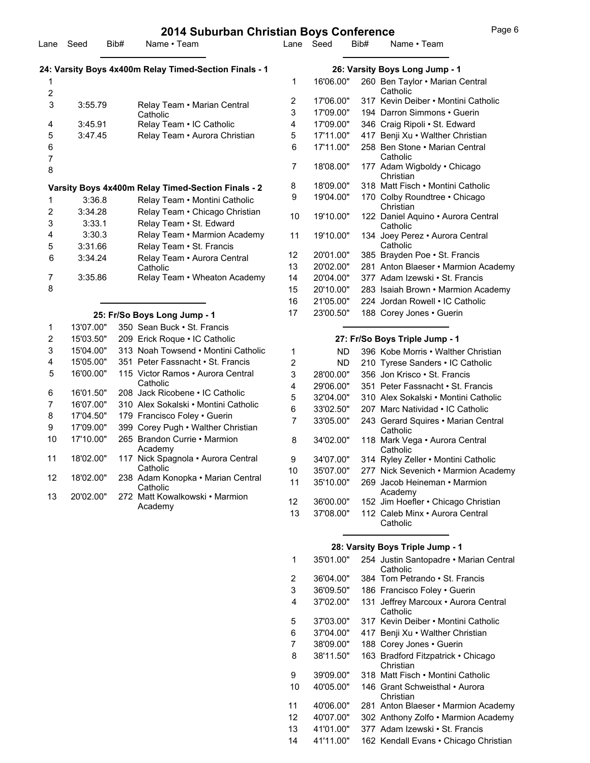| Lane           | Seed              | Bib# | zu 14 Suburban Christian Boys Comerence<br>Name · Team    |    | Lane Seed | Bib# | ı uyu i<br>Name • Team                         |
|----------------|-------------------|------|-----------------------------------------------------------|----|-----------|------|------------------------------------------------|
|                |                   |      | 24: Varsity Boys 4x400m Relay Timed-Section Finals - 1    |    |           |      | 26: Varsity Boys Long Jump - 1                 |
|                |                   |      |                                                           | 1. | 16'06.00" |      | 260 Ben Taylor • Marian Central<br>Catholic    |
| 2              |                   |      |                                                           | 2  | 17'06.00" |      | 317 Kevin Deiber • Montini Catholic            |
| 3              | 3:55.79           |      | Relay Team • Marian Central<br>Catholic                   | 3  | 17'09.00" |      | 194 Darron Simmons . Guerin                    |
| 4              | 3:45.91           |      | Relay Team . IC Catholic                                  | 4  | 17'09.00" |      | 346 Craig Ripoli . St. Edward                  |
| 5              | 3:47.45           |      | Relay Team • Aurora Christian                             | 5  | 17'11.00" |      | 417 Benji Xu • Walther Christian               |
| 6<br>7         |                   |      |                                                           | 6  | 17'11.00" |      | 258 Ben Stone • Marian Central<br>Catholic     |
| 8              |                   |      |                                                           | 7  | 18'08.00" |      | 177 Adam Wigboldy . Chicago<br>Christian       |
|                |                   |      | Varsity Boys 4x400m Relay Timed-Section Finals - 2        | 8  | 18'09.00" |      | 318 Matt Fisch • Montini Catholic              |
|                | 3:36.8            |      | Relay Team . Montini Catholic                             | 9  | 19'04.00" |      | 170 Colby Roundtree . Chicago<br>Christian     |
| 2<br>3         | 3:34.28<br>3:33.1 |      | Relay Team . Chicago Christian<br>Relay Team . St. Edward | 10 | 19'10.00" |      | 122 Daniel Aguino • Aurora Central<br>Catholic |
| 4<br>5         | 3:30.3<br>3:31.66 |      | Relay Team • Marmion Academy<br>Relay Team . St. Francis  | 11 | 19'10.00" |      | 134 Joey Perez • Aurora Central<br>Catholic    |
| 6              | 3:34.24           |      | Relay Team . Aurora Central                               | 12 | 20'01.00" |      | 385 Brayden Poe . St. Francis                  |
|                |                   |      | Catholic                                                  | 13 | 20'02.00" |      | 281 Anton Blaeser • Marmion Academy            |
| 7              | 3:35.86           |      | Relay Team . Wheaton Academy                              | 14 | 20'04.00" |      | 377 Adam Izewski • St. Francis                 |
| 8              |                   |      |                                                           | 15 | 20'10.00" |      | 283 Isaiah Brown • Marmion Academy             |
|                |                   |      |                                                           | 16 | 21'05.00" |      | 224 Jordan Rowell . IC Catholic                |
|                |                   |      | 25: Fr/So Boys Long Jump - 1                              | 17 | 23'00.50" |      | 188 Corey Jones . Guerin                       |
| 1              | 13'07.00"         |      | 350 Sean Buck • St. Francis                               |    |           |      |                                                |
| $\overline{2}$ | 15'03.50"         |      | 209 Erick Roque . IC Catholic                             |    |           |      | 27: Fr/So Boys Triple Jump - 1                 |

3 15'04.00" 313 Noah Towsend • Montini Catholic 4 15'05.00" 351 Peter Fassnacht • St. Francis 16'00.00" 115 Victor Ramos • Aurora Central **Catholic** 

> 18'02.00" 117 Nick Spagnola • Aurora Central **Catholic**

 18'02.00" 238 Adam Konopka • Marian Central Catholic

 20'02.00" 272 Matt Kowalkowski • Marmion Academy

6 16'01.50" 208 Jack Ricobene • IC Catholic 7 16'07.00" 310 Alex Sokalski • Montini Catholic 8 17'04.50" 179 Francisco Foley • Guerin 9 17'09.00" 399 Corey Pugh • Walther Christian 17'10.00" 265 Brandon Currie • Marmion Academy

5

10

11

12

13

### **27: Fr/So Boys Triple Jump - 1**

| 1  | ND.       | 396 Kobe Morris • Walther Christian             |
|----|-----------|-------------------------------------------------|
| 2  | ND        | 210 Tyrese Sanders • IC Catholic                |
| 3  | 28'00.00" | 356 Jon Krisco • St. Francis                    |
| 4  | 29'06.00" | 351 Peter Fassnacht • St. Francis               |
| 5  | 32'04.00" | 310 Alex Sokalski • Montini Catholic            |
| 6  | 33'02.50" | 207 Marc Natividad • IC Catholic                |
| 7  | 33'05.00" | 243 Gerard Squires . Marian Central<br>Catholic |
| 8  | 34'02.00" | 118 Mark Vega • Aurora Central<br>Catholic      |
| 9  | 34'07.00" | 314 Ryley Zeller • Montini Catholic             |
| 10 | 35'07.00" | 277 Nick Sevenich • Marmion Academy             |
| 11 | 35'10.00" | 269 Jacob Heineman • Marmion<br>Academy         |
| 12 | 36'00.00" | 152 Jim Hoefler • Chicago Christian             |
| 13 | 37'08.00" | 112 Caleb Minx • Aurora Central<br>Catholic     |

#### **28: Varsity Boys Triple Jump - 1**

| 1  | 35'01.00" | 254 Justin Santopadre • Marian Central<br>Catholic |
|----|-----------|----------------------------------------------------|
| 2  | 36'04.00" | 384 Tom Petrando • St. Francis                     |
| 3  | 36'09.50" | 186 Francisco Foley • Guerin                       |
| 4  | 37'02.00" | 131 Jeffrey Marcoux . Aurora Central<br>Catholic   |
| 5  | 37'03.00" | 317 Kevin Deiber • Montini Catholic                |
| 6  | 37'04.00" | 417 Benji Xu • Walther Christian                   |
| 7  | 38'09.00" | 188 Corey Jones • Guerin                           |
| 8  | 38'11.50" | 163 Bradford Fitzpatrick • Chicago<br>Christian    |
| 9  | 39'09.00" | 318 Matt Fisch • Montini Catholic                  |
| 10 | 40'05.00" | 146 Grant Schweisthal • Aurora<br>Christian        |
| 11 | 40'06.00" | 281 Anton Blaeser • Marmion Academy                |
| 12 | 40'07.00" | 302 Anthony Zolfo . Marmion Academy                |
| 13 | 41'01.00" | 377 Adam Izewski • St. Francis                     |
| 14 | 41'11.00" | 162 Kendall Evans . Chicago Christian              |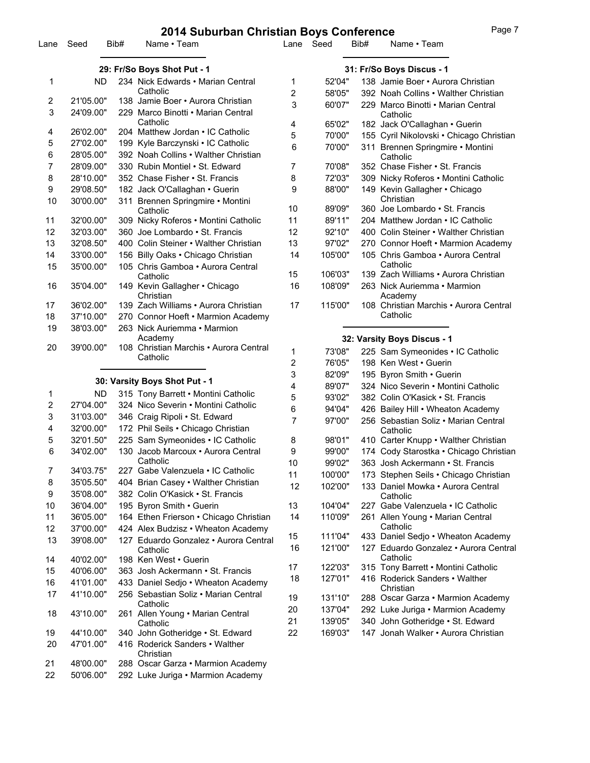| Lane   | Seed                   | Bib# | Name • Team                                                             | Lane                      | Seed               | Bib# | Name • Team                                                           |  |  |
|--------|------------------------|------|-------------------------------------------------------------------------|---------------------------|--------------------|------|-----------------------------------------------------------------------|--|--|
|        |                        |      | 29: Fr/So Boys Shot Put - 1                                             | 31: Fr/So Boys Discus - 1 |                    |      |                                                                       |  |  |
| 1      | <b>ND</b>              |      | 234 Nick Edwards • Marian Central                                       | 1                         | 52'04"             |      | 138 Jamie Boer • Aurora Christian                                     |  |  |
|        |                        |      | Catholic                                                                | 2                         | 58'05"             |      | 392 Noah Collins • Walther Christian                                  |  |  |
| 2<br>3 | 21'05.00"<br>24'09.00" |      | 138 Jamie Boer · Aurora Christian<br>229 Marco Binotti • Marian Central | 3                         | 60'07"             |      | 229 Marco Binotti • Marian Central<br>Catholic                        |  |  |
|        |                        |      | Catholic                                                                | 4                         | 65'02"             |      | 182 Jack O'Callaghan . Guerin                                         |  |  |
| 4      | 26'02.00"              |      | 204 Matthew Jordan . IC Catholic                                        | 5                         | 70'00"             |      | 155 Cyril Nikolovski · Chicago Christian                              |  |  |
| 5      | 27'02.00"              |      | 199 Kyle Barczynski • IC Catholic                                       | 6                         | 70'00"             |      | 311 Brennen Springmire • Montini                                      |  |  |
| 6      | 28'05.00"              |      | 392 Noah Collins • Walther Christian                                    |                           |                    |      | Catholic                                                              |  |  |
| 7      | 28'09.00"              |      | 330 Rubin Montiel . St. Edward                                          | 7                         | 70'08"             |      | 352 Chase Fisher • St. Francis                                        |  |  |
| 8      | 28'10.00"              |      | 352 Chase Fisher • St. Francis                                          | 8                         | 72'03"             |      | 309 Nicky Roferos . Montini Catholic                                  |  |  |
| 9      | 29'08.50"              |      | 182 Jack O'Callaghan • Guerin                                           | 9                         | 88'00"             |      | 149 Kevin Gallagher • Chicago<br>Christian                            |  |  |
| 10     | 30'00.00"              |      | 311 Brennen Springmire • Montini<br>Catholic                            | 10                        | 89'09"             |      | 360 Joe Lombardo • St. Francis                                        |  |  |
| 11     | 32'00.00"              |      | 309 Nicky Roferos . Montini Catholic                                    | 11                        | 89'11"             |      | 204 Matthew Jordan . IC Catholic                                      |  |  |
| 12     | 32'03.00"              |      | 360 Joe Lombardo · St. Francis                                          | 12                        | 92'10"             |      | 400 Colin Steiner • Walther Christian                                 |  |  |
| 13     | 32'08.50"              |      | 400 Colin Steiner • Walther Christian                                   | 13                        | 97'02"             |      | 270 Connor Hoeft . Marmion Academy                                    |  |  |
| 14     | 33'00.00"              |      | 156 Billy Oaks . Chicago Christian                                      | 14                        | 105'00"            |      | 105 Chris Gamboa • Aurora Central                                     |  |  |
| 15     | 35'00.00"              |      | 105 Chris Gamboa • Aurora Central                                       |                           |                    |      | Catholic                                                              |  |  |
|        |                        |      | Catholic                                                                | 15                        | 106'03"            |      | 139 Zach Williams • Aurora Christian                                  |  |  |
| 16     | 35'04.00"              |      | 149 Kevin Gallagher · Chicago<br>Christian                              | 16                        | 108'09"            |      | 263 Nick Auriemma • Marmion<br>Academy                                |  |  |
| 17     | 36'02.00"              |      | 139 Zach Williams • Aurora Christian                                    | 17                        | 115'00"            |      | 108 Christian Marchis . Aurora Central                                |  |  |
| 18     | 37'10.00"              |      | 270 Connor Hoeft . Marmion Academy                                      |                           |                    |      | Catholic                                                              |  |  |
| 19     | 38'03.00"              |      | 263 Nick Auriemma • Marmion                                             |                           |                    |      |                                                                       |  |  |
| 20     | 39'00.00"              |      | Academy<br>108 Christian Marchis • Aurora Central                       |                           |                    |      | 32: Varsity Boys Discus - 1                                           |  |  |
|        |                        |      | Catholic                                                                | 1                         | 73'08"             |      | 225 Sam Symeonides . IC Catholic                                      |  |  |
|        |                        |      |                                                                         | 2                         | 76'05"<br>82'09"   |      | 198 Ken West • Guerin                                                 |  |  |
|        |                        |      | 30: Varsity Boys Shot Put - 1                                           | 3<br>4                    | 89'07"             |      | 195 Byron Smith • Guerin<br>324 Nico Severin . Montini Catholic       |  |  |
| 1      | ND.                    |      | 315 Tony Barrett . Montini Catholic                                     | 5                         | 93'02"             |      | 382 Colin O'Kasick . St. Francis                                      |  |  |
| 2      | 27'04.00"              |      | 324 Nico Severin • Montini Catholic                                     | 6                         | 94'04"             |      | 426 Bailey Hill . Wheaton Academy                                     |  |  |
| 3      | 31'03.00"              |      | 346 Craig Ripoli . St. Edward                                           | 7                         | 97'00"             |      | 256 Sebastian Soliz • Marian Central                                  |  |  |
| 4      | 32'00.00"              |      | 172 Phil Seils . Chicago Christian                                      |                           |                    |      | Catholic                                                              |  |  |
| 5      | 32'01.50"              |      | 225 Sam Symeonides . IC Catholic                                        | 8                         | 98'01"             |      | 410 Carter Knupp . Walther Christian                                  |  |  |
| 6      | 34'02.00"              |      | 130 Jacob Marcoux . Aurora Central                                      | 9                         | 99'00"             |      | 174 Cody Starostka · Chicago Christian                                |  |  |
|        |                        |      | Catholic                                                                | 10                        | 99'02"             |      | 363 Josh Ackermann • St. Francis                                      |  |  |
| 7      | 34'03.75"              |      | 227 Gabe Valenzuela · IC Catholic                                       | 11                        | 100'00"            |      | 173 Stephen Seils · Chicago Christian                                 |  |  |
| 8<br>9 | 35'05.50"<br>35'08.00" |      | 404 Brian Casey . Walther Christian<br>382 Colin O'Kasick . St. Francis | 12                        | 102'00"            |      | 133 Daniel Mowka • Aurora Central<br>Catholic                         |  |  |
| 10     | 36'04.00"              |      | 195 Byron Smith . Guerin                                                | 13                        | 104'04"            |      | 227 Gabe Valenzuela • IC Catholic                                     |  |  |
| 11     | 36'05.00"              |      | 164 Ethen Frierson . Chicago Christian                                  | 14                        | 110'09"            |      | 261 Allen Young • Marian Central                                      |  |  |
| 12     | 37'00.00"              |      | 424 Alex Budzisz • Wheaton Academy                                      |                           |                    |      | Catholic                                                              |  |  |
| 13     | 39'08.00"              |      | 127 Eduardo Gonzalez • Aurora Central                                   | 15                        | 111'04"            |      | 433 Daniel Sedjo . Wheaton Academy                                    |  |  |
| 14     | 40'02.00"              |      | Catholic<br>198 Ken West · Guerin                                       | 16                        | 121'00"            |      | 127 Eduardo Gonzalez • Aurora Central<br>Catholic                     |  |  |
| 15     | 40'06.00"              |      | 363 Josh Ackermann • St. Francis                                        | 17                        | 122'03"            |      | 315 Tony Barrett . Montini Catholic                                   |  |  |
| 16     | 41'01.00"              |      | 433 Daniel Sedjo . Wheaton Academy                                      | 18                        | 127'01"            |      | 416 Roderick Sanders • Walther                                        |  |  |
| 17     | 41'10.00"              |      | 256 Sebastian Soliz • Marian Central<br>Catholic                        | 19                        | 131'10"            |      | Christian<br>288 Oscar Garza • Marmion Academy                        |  |  |
| 18     | 43'10.00"              |      | 261 Allen Young . Marian Central<br>Catholic                            | 20<br>21                  | 137'04"<br>139'05" |      | 292 Luke Juriga • Marmion Academy<br>340 John Gotheridge . St. Edward |  |  |
| 19     | 44'10.00"              |      | 340 John Gotheridge . St. Edward                                        | 22                        | 169'03"            |      | 147 Jonah Walker • Aurora Christian                                   |  |  |
| 20     | 47'01.00"              |      | 416 Roderick Sanders • Walther<br>Christian                             |                           |                    |      |                                                                       |  |  |
| 21     | 48'00.00"              |      | 288 Oscar Garza • Marmion Academy                                       |                           |                    |      |                                                                       |  |  |
| 22     | 50'06.00"              |      | 292 Luke Juriga · Marmion Academy                                       |                           |                    |      |                                                                       |  |  |